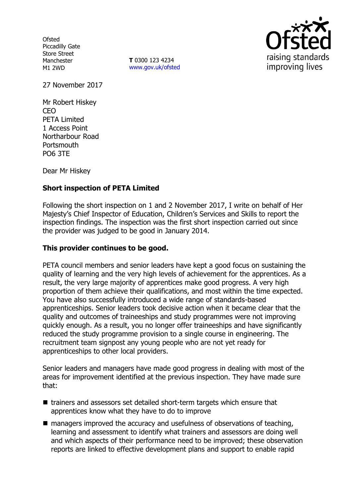**Ofsted** Piccadilly Gate Store Street Manchester M1 2WD

**T** 0300 123 4234 www.gov.uk/ofsted



27 November 2017

Mr Robert Hiskey CEO PETA Limited 1 Access Point Northarbour Road **Portsmouth** PO6 3TE

Dear Mr Hiskey

# **Short inspection of PETA Limited**

Following the short inspection on 1 and 2 November 2017, I write on behalf of Her Majesty's Chief Inspector of Education, Children's Services and Skills to report the inspection findings. The inspection was the first short inspection carried out since the provider was judged to be good in January 2014.

#### **This provider continues to be good.**

PETA council members and senior leaders have kept a good focus on sustaining the quality of learning and the very high levels of achievement for the apprentices. As a result, the very large majority of apprentices make good progress. A very high proportion of them achieve their qualifications, and most within the time expected. You have also successfully introduced a wide range of standards-based apprenticeships. Senior leaders took decisive action when it became clear that the quality and outcomes of traineeships and study programmes were not improving quickly enough. As a result, you no longer offer traineeships and have significantly reduced the study programme provision to a single course in engineering. The recruitment team signpost any young people who are not yet ready for apprenticeships to other local providers.

Senior leaders and managers have made good progress in dealing with most of the areas for improvement identified at the previous inspection. They have made sure that:

- trainers and assessors set detailed short-term targets which ensure that apprentices know what they have to do to improve
- managers improved the accuracy and usefulness of observations of teaching, learning and assessment to identify what trainers and assessors are doing well and which aspects of their performance need to be improved; these observation reports are linked to effective development plans and support to enable rapid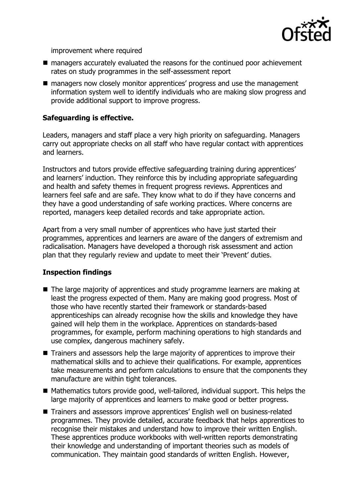

improvement where required

- managers accurately evaluated the reasons for the continued poor achievement rates on study programmes in the self-assessment report
- managers now closely monitor apprentices' progress and use the management information system well to identify individuals who are making slow progress and provide additional support to improve progress.

## **Safeguarding is effective.**

Leaders, managers and staff place a very high priority on safeguarding. Managers carry out appropriate checks on all staff who have regular contact with apprentices and learners.

Instructors and tutors provide effective safeguarding training during apprentices' and learners' induction. They reinforce this by including appropriate safeguarding and health and safety themes in frequent progress reviews. Apprentices and learners feel safe and are safe. They know what to do if they have concerns and they have a good understanding of safe working practices. Where concerns are reported, managers keep detailed records and take appropriate action.

Apart from a very small number of apprentices who have just started their programmes, apprentices and learners are aware of the dangers of extremism and radicalisation. Managers have developed a thorough risk assessment and action plan that they regularly review and update to meet their 'Prevent' duties.

## **Inspection findings**

- The large majority of apprentices and study programme learners are making at least the progress expected of them. Many are making good progress. Most of those who have recently started their framework or standards-based apprenticeships can already recognise how the skills and knowledge they have gained will help them in the workplace. Apprentices on standards-based programmes, for example, perform machining operations to high standards and use complex, dangerous machinery safely.
- Trainers and assessors help the large majority of apprentices to improve their mathematical skills and to achieve their qualifications. For example, apprentices take measurements and perform calculations to ensure that the components they manufacture are within tight tolerances.
- Mathematics tutors provide good, well-tailored, individual support. This helps the large majority of apprentices and learners to make good or better progress.
- Trainers and assessors improve apprentices' English well on business-related programmes. They provide detailed, accurate feedback that helps apprentices to recognise their mistakes and understand how to improve their written English. These apprentices produce workbooks with well-written reports demonstrating their knowledge and understanding of important theories such as models of communication. They maintain good standards of written English. However,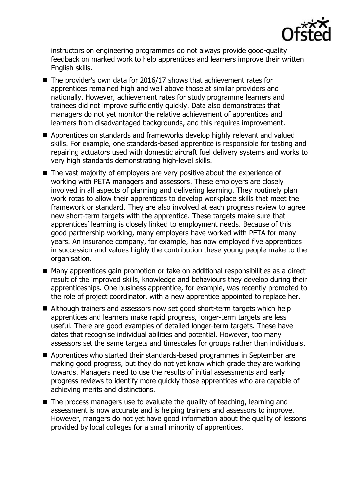

instructors on engineering programmes do not always provide good-quality feedback on marked work to help apprentices and learners improve their written English skills.

- The provider's own data for 2016/17 shows that achievement rates for apprentices remained high and well above those at similar providers and nationally. However, achievement rates for study programme learners and trainees did not improve sufficiently quickly. Data also demonstrates that managers do not yet monitor the relative achievement of apprentices and learners from disadvantaged backgrounds, and this requires improvement.
- Apprentices on standards and frameworks develop highly relevant and valued skills. For example, one standards-based apprentice is responsible for testing and repairing actuators used with domestic aircraft fuel delivery systems and works to very high standards demonstrating high-level skills.
- The vast majority of employers are very positive about the experience of working with PETA managers and assessors. These employers are closely involved in all aspects of planning and delivering learning. They routinely plan work rotas to allow their apprentices to develop workplace skills that meet the framework or standard. They are also involved at each progress review to agree new short-term targets with the apprentice. These targets make sure that apprentices' learning is closely linked to employment needs. Because of this good partnership working, many employers have worked with PETA for many years. An insurance company, for example, has now employed five apprentices in succession and values highly the contribution these young people make to the organisation.
- Many apprentices gain promotion or take on additional responsibilities as a direct result of the improved skills, knowledge and behaviours they develop during their apprenticeships. One business apprentice, for example, was recently promoted to the role of project coordinator, with a new apprentice appointed to replace her.
- Although trainers and assessors now set good short-term targets which help apprentices and learners make rapid progress, longer-term targets are less useful. There are good examples of detailed longer-term targets. These have dates that recognise individual abilities and potential. However, too many assessors set the same targets and timescales for groups rather than individuals.
- Apprentices who started their standards-based programmes in September are making good progress, but they do not yet know which grade they are working towards. Managers need to use the results of initial assessments and early progress reviews to identify more quickly those apprentices who are capable of achieving merits and distinctions.
- The process managers use to evaluate the quality of teaching, learning and assessment is now accurate and is helping trainers and assessors to improve. However, mangers do not yet have good information about the quality of lessons provided by local colleges for a small minority of apprentices.